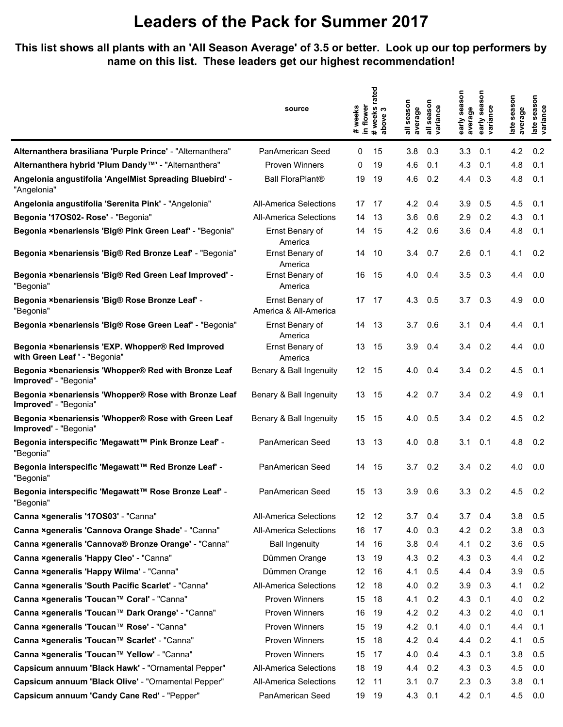#### **This list shows all plants with an 'All Season Average' of 3.5 or better. Look up our top performers by name on this list. These leaders get our highest recommendation!**

|                                                                                   | source                                   | in flower<br>weeks<br># | rated<br>weeks<br>bove 3<br>above<br>$\ddot{\phantom{1}}$ | season<br>average | season<br>variance | season<br>average<br>early | season<br>variance<br>early | season<br>average<br>late | season<br>late seas<br>variance |
|-----------------------------------------------------------------------------------|------------------------------------------|-------------------------|-----------------------------------------------------------|-------------------|--------------------|----------------------------|-----------------------------|---------------------------|---------------------------------|
| Alternanthera brasiliana 'Purple Prince' - "Alternanthera"                        | PanAmerican Seed                         | 0                       | 15                                                        | 3.8               | 0.3                | 3.3                        | 0.1                         | 4.2                       | 0.2                             |
| Alternanthera hybrid 'Plum Dandy™' - "Alternanthera"                              | <b>Proven Winners</b>                    | 0                       | 19                                                        | 4.6               | 0.1                | 4.3                        | 0.1                         | 4.8                       | 0.1                             |
| Angelonia angustifolia 'AngelMist Spreading Bluebird' -<br>"Angelonia"            | <b>Ball FloraPlant®</b>                  | 19                      | 19                                                        | 4.6               | 0.2                | 4.4                        | 0.3                         | 4.8                       | 0.1                             |
| Angelonia angustifolia 'Serenita Pink' - "Angelonia"                              | <b>All-America Selections</b>            | 17                      | 17                                                        | 4.2               | 0.4                | 3.9                        | 0.5                         | 4.5                       | 0.1                             |
| Begonia '17OS02- Rose' - "Begonia"                                                | All-America Selections                   | 14                      | 13                                                        | 3.6               | 0.6                | 2.9                        | 0.2                         | 4.3                       | 0.1                             |
| Begonia ×benariensis 'Big® Pink Green Leaf' - "Begonia"                           | Ernst Benary of<br>America               | 14                      | 15                                                        | 4.2               | 0.6                | 3.6                        | 0.4                         | 4.8                       | 0.1                             |
| Begonia ×benariensis 'Big® Red Bronze Leaf' - "Begonia"                           | Ernst Benary of<br>America               | 14                      | 10                                                        | 3.4               | 0.7                | 2.6                        | 0.1                         | 4.1                       | 0.2                             |
| Begonia ×benariensis 'Big® Red Green Leaf Improved' -<br>"Begonia"                | Ernst Benary of<br>America               | 16                      | 15                                                        | 4.0               | 0.4                | 3.5                        | 0.3                         | 4.4                       | 0.0                             |
| Begonia ×benariensis 'Big® Rose Bronze Leaf' -<br>"Begonia"                       | Ernst Benary of<br>America & All-America | 17 17                   |                                                           | 4.3               | 0.5                | 3.7                        | 0.3                         | 4.9                       | 0.0                             |
| Begonia ×benariensis 'Big® Rose Green Leaf' - "Begonia"                           | Ernst Benary of<br>America               | 14                      | 13                                                        | 3.7               | 0.6                | 3.1                        | 0.4                         | 4.4                       | 0.1                             |
| Begonia ×benariensis 'EXP. Whopper® Red Improved<br>with Green Leaf ' - "Begonia" | Ernst Benary of<br>America               | 13                      | 15                                                        | 3.9               | 0.4                | 3.4                        | 0.2                         | 4.4                       | 0.0                             |
| Begonia ×benariensis 'Whopper® Red with Bronze Leaf<br>Improved' - "Begonia"      | Benary & Ball Ingenuity                  | 12 <sup>°</sup>         | 15                                                        | 4.0               | 0.4                | 3.4                        | 0.2                         | 4.5                       | 0.1                             |
| Begonia ×benariensis 'Whopper® Rose with Bronze Leaf<br>Improved' - "Begonia"     | Benary & Ball Ingenuity                  | 13                      | -15                                                       | 4.2               | 0.7                | 3.4                        | 0.2                         | 4.9                       | 0.1                             |
| Begonia ×benariensis 'Whopper® Rose with Green Leaf<br>Improved' - "Begonia"      | Benary & Ball Ingenuity                  | 15                      | 15                                                        | 4.0               | 0.5                | 3.4                        | 0.2                         | 4.5                       | 0.2                             |
| Begonia interspecific 'Megawatt™ Pink Bronze Leaf' -<br>"Begonia"                 | PanAmerican Seed                         | 13                      | 13                                                        | 4.0               | 0.8                | 3.1                        | 0.1                         | 4.8                       | 0.2                             |
| Begonia interspecific 'Megawatt™ Red Bronze Leaf' -<br>"Begonia"                  | PanAmerican Seed                         | 14                      | 15                                                        | 3.7               | 0.2                | 3.4                        | 0.2                         | 4.0                       | 0.0                             |
| Begonia interspecific 'Megawatt™ Rose Bronze Leaf' -<br>"Begonia"                 | PanAmerican Seed                         | 15                      | 13                                                        | 3.9               | 0.6                | 3.3                        | 0.2                         | 4.5                       | 0.2                             |
| Canna ×generalis '170S03' - "Canna"                                               | <b>All-America Selections</b>            | 12 <sup>12</sup>        | 12                                                        | 3.7               | 0.4                | 3.7                        | 0.4                         | 3.8                       | 0.5                             |
| Canna xgeneralis 'Cannova Orange Shade' - "Canna"                                 | <b>All-America Selections</b>            | 16                      | 17                                                        | 4.0               | 0.3                | 4.2                        | 0.2                         | 3.8                       | 0.3                             |
| Canna xgeneralis 'Cannova® Bronze Orange' - "Canna"                               | <b>Ball Ingenuity</b>                    | 14                      | 16                                                        | 3.8               | 0.4                | 4.1                        | 0.2                         | 3.6                       | 0.5                             |
| Canna ×generalis 'Happy Cleo' - "Canna"                                           | Dümmen Orange                            | 13                      | 19                                                        | 4.3               | 0.2                | 4.3                        | 0.3                         | 4.4                       | 0.2                             |
| Canna xgeneralis 'Happy Wilma' - "Canna"                                          | Dümmen Orange                            | 12                      | 16                                                        | 4.1               | 0.5                | 4.4                        | 0.4                         | 3.9                       | 0.5                             |
| Canna ×generalis 'South Pacific Scarlet' - "Canna"                                | <b>All-America Selections</b>            | 12                      | 18                                                        | 4.0               | 0.2                | 3.9                        | 0.3                         | 4.1                       | 0.2                             |
| Canna ×generalis 'Toucan™ Coral' - "Canna"                                        | Proven Winners                           | 15                      | 18                                                        | 4.1               | 0.2                | 4.3                        | 0.1                         | 4.0                       | 0.2                             |
| Canna ×generalis 'Toucan™ Dark Orange' - "Canna"                                  | Proven Winners                           | 16                      | 19                                                        | 4.2               | 0.2                | 4.3                        | 0.2                         | 4.0                       | 0.1                             |
| Canna ×generalis 'Toucan™ Rose' - "Canna"                                         | Proven Winners                           | 15                      | 19                                                        | 4.2               | 0.1                | 4.0                        | 0.1                         | 4.4                       | 0.1                             |
| Canna ×generalis 'Toucan™ Scarlet' - "Canna"                                      | Proven Winners                           | 15                      | 18                                                        | 4.2               | 0.4                | 4.4                        | 0.2                         | 4.1                       | 0.5                             |
| Canna ×generalis 'Toucan™ Yellow' - "Canna"                                       | Proven Winners                           | 15                      | 17                                                        | 4.0               | 0.4                | 4.3                        | 0.1                         | 3.8                       | 0.5                             |
| Capsicum annuum 'Black Hawk' - "Ornamental Pepper"                                | <b>All-America Selections</b>            | 18                      | 19                                                        | 4.4               | 0.2                | 4.3                        | 0.3                         | 4.5                       | 0.0                             |
| Capsicum annuum 'Black Olive' - "Ornamental Pepper"                               | <b>All-America Selections</b>            | 12                      | 11                                                        | 3.1               | 0.7                | 2.3                        | 0.3                         | 3.8                       | 0.1                             |
| Capsicum annuum 'Candy Cane Red' - "Pepper"                                       | PanAmerican Seed                         | 19                      | 19                                                        | 4.3               | 0.1                | 4.2                        | 0.1                         | 4.5                       | 0.0                             |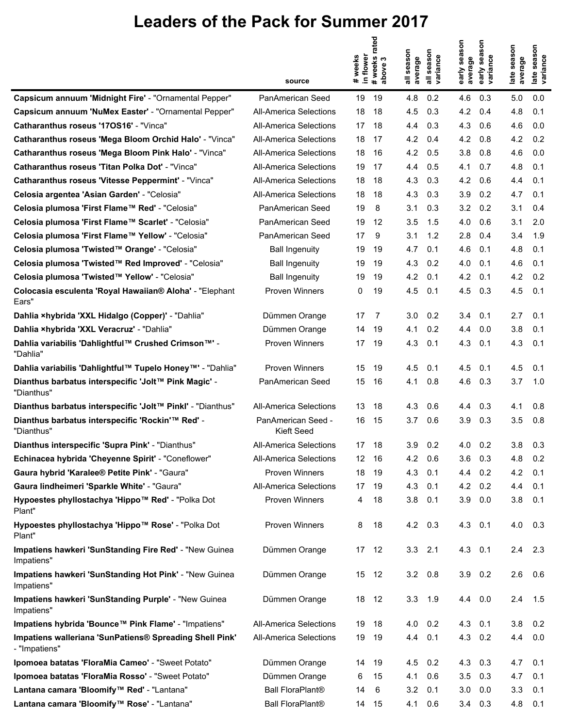|                                                                          | source                           | # weeks rated<br>in flower<br># weeks | season<br>bove<br>$\overline{\mathbf{a}}$ | season<br>variance<br>average | early season<br>average | δ<br>ğ,<br>early seas<br>variance | late season<br>average | late season<br>variance |
|--------------------------------------------------------------------------|----------------------------------|---------------------------------------|-------------------------------------------|-------------------------------|-------------------------|-----------------------------------|------------------------|-------------------------|
|                                                                          |                                  |                                       |                                           |                               |                         |                                   |                        |                         |
| Capsicum annuum 'Midnight Fire' - "Ornamental Pepper"                    | PanAmerican Seed                 | 19<br>19                              | 4.8                                       | 0.2                           | 4.6                     | 0.3                               | 5.0                    | 0.0<br>0.1              |
| Capsicum annuum 'NuMex Easter' - "Ornamental Pepper"                     | All-America Selections           | 18                                    | 4.5<br>18                                 | 0.3                           | 4.2                     | 0.4                               | 4.8                    |                         |
| Catharanthus roseus '170S16' - "Vinca"                                   | All-America Selections           | 17                                    | 18<br>4.4                                 | 0.3                           | 4.3                     | 0.6                               | 4.6                    | 0.0                     |
| Catharanthus roseus 'Mega Bloom Orchid Halo' - "Vinca"                   | All-America Selections           | 18                                    | 4.2<br>17                                 | 0.4                           | 4.2                     | 0.8                               | 4.2                    | 0.2                     |
| Catharanthus roseus 'Mega Bloom Pink Halo' - "Vinca"                     | <b>All-America Selections</b>    | 18                                    | 4.2<br>16                                 | 0.5                           | 3.8                     | 0.8                               | 4.6                    | 0.0                     |
| Catharanthus roseus 'Titan Polka Dot' - "Vinca"                          | All-America Selections           | 19                                    | 17<br>4.4                                 | 0.5                           | 4.1                     | 0.7                               | 4.8                    | 0.1                     |
| Catharanthus roseus 'Vitesse Peppermint' - "Vinca"                       | All-America Selections           | 18                                    | 18<br>4.3                                 | 0.3                           | 4.2                     | 0.6                               | 4.4                    | 0.1                     |
| Celosia argentea 'Asian Garden' - "Celosia"                              | All-America Selections           | 18                                    | 4.3<br>18                                 | 0.3                           | 3.9                     | 0.2                               | 4.7                    | 0.1                     |
| Celosia plumosa 'First Flame™ Red' - "Celosia"                           | PanAmerican Seed                 | 19                                    | 8<br>3.1                                  | 0.3                           | 3.2                     | 0.2                               | 3.1                    | 0.4                     |
| Celosia plumosa 'First Flame™ Scarlet' - "Celosia"                       | PanAmerican Seed                 | 19                                    | 12<br>3.5                                 | 1.5                           | 4.0                     | 0.6                               | 3.1                    | 2.0                     |
| Celosia plumosa 'First Flame™ Yellow' - "Celosia"                        | PanAmerican Seed                 | 17                                    | 9<br>3.1                                  | 1.2                           | 2.8                     | 0.4                               | 3.4                    | 1.9                     |
| Celosia plumosa 'Twisted™ Orange' - "Celosia"                            | <b>Ball Ingenuity</b>            | 19                                    | 19<br>4.7                                 | 0.1                           | 4.6                     | 0.1                               | 4.8                    | 0.1                     |
| Celosia plumosa 'Twisted™ Red Improved' - "Celosia"                      | <b>Ball Ingenuity</b>            | 19                                    | 19<br>4.3                                 | 0.2                           | 4.0                     | 0.1                               | 4.6                    | 0.1                     |
| Celosia plumosa 'Twisted™ Yellow' - "Celosia"                            | <b>Ball Ingenuity</b>            | 19                                    | 4.2<br>19                                 | 0.1                           | 4.2                     | 0.1                               | 4.2                    | 0.2                     |
| Colocasia esculenta 'Royal Hawaiian® Aloha' - "Elephant<br>Ears"         | <b>Proven Winners</b>            | 0                                     | 19<br>4.5                                 | 0.1                           | 4.5                     | 0.3                               | 4.5                    | 0.1                     |
| Dahlia ×hybrida 'XXL Hidalgo (Copper)' - "Dahlia"                        | Dümmen Orange                    | 17                                    | 3.0<br>7                                  | 0.2                           | 3.4                     | 0.1                               | 2.7                    | 0.1                     |
| Dahlia xhybrida 'XXL Veracruz' - "Dahlia"                                | Dümmen Orange                    | 14                                    | 19<br>4.1                                 | 0.2                           | 4.4                     | 0.0                               | 3.8                    | 0.1                     |
| Dahlia variabilis 'Dahlightful™ Crushed Crimson™' -<br>"Dahlia"          | <b>Proven Winners</b>            | 17                                    | 19<br>4.3                                 | 0.1                           | 4.3                     | 0.1                               | 4.3                    | 0.1                     |
| Dahlia variabilis 'Dahlightful™ Tupelo Honey™' - "Dahlia"                | <b>Proven Winners</b>            | 15                                    | 19<br>4.5                                 | 0.1                           | 4.5                     | 0.1                               | 4.5                    | 0.1                     |
| Dianthus barbatus interspecific 'Jolt™ Pink Magic' -<br>"Dianthus"       | <b>PanAmerican Seed</b>          | 15                                    | 4.1<br>16                                 | 0.8                           | 4.6                     | 0.3                               | 3.7                    | 1.0                     |
| Dianthus barbatus interspecific 'Jolt™ Pinkl' - "Dianthus"               | All-America Selections           | 13                                    | 4.3<br>18                                 | 0.6                           | 4.4                     | 0.3                               | 4.1                    | 0.8                     |
| Dianthus barbatus interspecific 'Rockin'™ Red' -<br>"Dianthus"           | PanAmerican Seed -<br>Kieft Seed | 16                                    | 15<br>3.7                                 | 0.6                           | 3.9                     | 0.3                               | 3.5                    | 0.8                     |
| Dianthus interspecific 'Supra Pink' - "Dianthus"                         | All-America Selections           | 17                                    | 18<br>3.9                                 | 0.2                           | 4.0                     | 0.2                               | 3.8                    | 0.3                     |
| Echinacea hybrida 'Cheyenne Spirit' - "Coneflower"                       | <b>All-America Selections</b>    | 12 <sup>°</sup>                       | 4.2<br>16                                 | 0.6                           | 3.6                     | 0.3                               | 4.8                    | 0.2                     |
| Gaura hybrid 'Karalee® Petite Pink' - "Gaura"                            | <b>Proven Winners</b>            | 18                                    | 4.3<br>19                                 | 0.1                           | 4.4                     | 0.2                               | 4.2                    | 0.1                     |
| Gaura lindheimeri 'Sparkle White' - "Gaura"                              | <b>All-America Selections</b>    | 17                                    | 4.3<br>19                                 | 0.1                           | 4.2                     | 0.2                               | 4.4                    | 0.1                     |
| Hypoestes phyllostachya 'Hippo™ Red' - "Polka Dot<br>Plant"              | Proven Winners                   | 4                                     | 3.8<br>18                                 | 0.1                           | 3.9                     | 0.0                               | 3.8                    | 0.1                     |
| Hypoestes phyllostachya 'Hippo™ Rose' - "Polka Dot<br>Plant"             | Proven Winners                   | 8                                     | 18                                        | 4.2 0.3                       |                         | 4.3 0.1                           | 4.0                    | 0.3                     |
| Impatiens hawkeri 'SunStanding Fire Red' - "New Guinea<br>Impatiens"     | Dümmen Orange                    | 17                                    | 12                                        | $3.3$ $2.1$                   |                         | $4.3$ 0.1                         | 2.4                    | 2.3                     |
| Impatiens hawkeri 'SunStanding Hot Pink' - "New Guinea<br>Impatiens"     | Dümmen Orange                    | 15<br>12                              |                                           | $3.2\quad 0.8$                |                         | $3.9$ 0.2                         | 2.6                    | 0.6                     |
| Impatiens hawkeri 'SunStanding Purple' - "New Guinea<br>Impatiens"       | Dümmen Orange                    | 18<br>12                              | 3.3                                       | 1.9                           |                         | 4.4 0.0                           | 2.4                    | 1.5                     |
| Impatiens hybrida 'Bounce™ Pink Flame' - "Impatiens"                     | <b>All-America Selections</b>    | 19                                    | 18                                        | $4.0 \quad 0.2$               |                         | $4.3$ 0.1                         | 3.8                    | 0.2                     |
| Impatiens walleriana 'SunPatiens® Spreading Shell Pink'<br>- "Impatiens" | <b>All-America Selections</b>    | 19<br>19                              | 4.4                                       | 0.1                           |                         | 4.3 0.2                           | 4.4                    | 0.0                     |
| Ipomoea batatas 'FloraMia Cameo' - "Sweet Potato"                        | Dümmen Orange                    | 14                                    | 19<br>4.5                                 | 0.2                           | 4.3                     | 0.3                               | 4.7                    | 0.1                     |
| Ipomoea batatas 'FloraMia Rosso' - "Sweet Potato"                        | Dümmen Orange                    | 6                                     | 15<br>4.1                                 | 0.6                           | 3.5                     | 0.3                               | 4.7                    | 0.1                     |
| Lantana camara 'Bloomify™ Red' - "Lantana"                               | <b>Ball FloraPlant®</b>          | 14                                    | 3.2<br>6                                  | 0.1                           | 3.0                     | 0.0                               | 3.3                    | 0.1                     |
| Lantana camara 'Bloomify™ Rose' - "Lantana"                              | <b>Ball FloraPlant®</b>          | 14                                    | 15<br>4.1                                 | 0.6                           |                         | $3.4$ 0.3                         | 4.8                    | 0.1                     |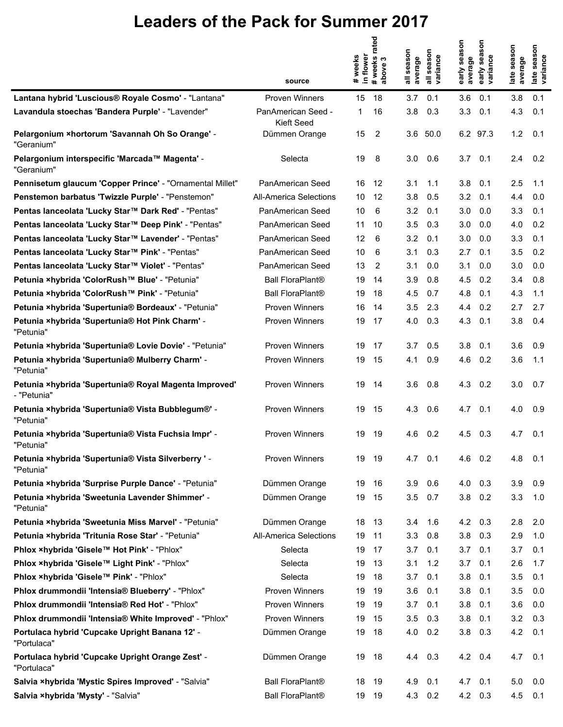|                                                                      | source                           | # weeks<br>in flower | rated<br>#weeks<br>∾<br>above | season<br>average | season<br>variance | early season<br>average | son<br>sea<br>variance<br>early | late season<br>average | late season<br>variance<br>late: |
|----------------------------------------------------------------------|----------------------------------|----------------------|-------------------------------|-------------------|--------------------|-------------------------|---------------------------------|------------------------|----------------------------------|
| Lantana hybrid 'Luscious® Royale Cosmo' - "Lantana"                  | <b>Proven Winners</b>            | 15                   | 18                            | 3.7               | 0.1                | 3.6                     | 0.1                             | 3.8                    | 0.1                              |
| Lavandula stoechas 'Bandera Purple' - "Lavender"                     | PanAmerican Seed -<br>Kieft Seed | 1                    | 16                            | 3.8               | 0.3                | 3.3                     | 0.1                             | 4.3                    | 0.1                              |
| Pelargonium × hortorum 'Savannah Oh So Orange' -<br>"Geranium"       | Dümmen Orange                    | 15                   | 2                             |                   | 3.6 50.0           |                         | 6.2 97.3                        | 1.2                    | 0.1                              |
| Pelargonium interspecific 'Marcada™ Magenta' -<br>"Geranium"         | Selecta                          | 19                   | 8                             | 3.0               | 0.6                | 3.7                     | 0.1                             | 2.4                    | 0.2                              |
| Pennisetum glaucum 'Copper Prince' - "Ornamental Millet"             | PanAmerican Seed                 | 16                   | 12                            | 3.1               | 1.1                | 3.8                     | 0.1                             | 2.5                    | 1.1                              |
| Penstemon barbatus 'Twizzle Purple' - "Penstemon"                    | All-America Selections           | 10                   | 12                            | 3.8               | 0.5                | 3.2                     | 0.1                             | 4.4                    | 0.0                              |
| Pentas lanceolata 'Lucky Star™ Dark Red' - "Pentas"                  | PanAmerican Seed                 | 10                   | 6                             | 3.2               | 0.1                | 3.0                     | 0.0                             | 3.3                    | 0.1                              |
| Pentas lanceolata 'Lucky Star™ Deep Pink' - "Pentas"                 | PanAmerican Seed                 | 11                   | 10                            | 3.5               | 0.3                | 3.0                     | 0.0                             | 4.0                    | 0.2                              |
| Pentas lanceolata 'Lucky Star™ Lavender' - "Pentas"                  | PanAmerican Seed                 | 12                   | 6                             | 3.2               | 0.1                | 3.0                     | 0.0                             | 3.3                    | 0.1                              |
| Pentas lanceolata 'Lucky Star™ Pink' - "Pentas"                      | PanAmerican Seed                 | 10                   | 6                             | 3.1               | 0.3                | 2.7                     | 0.1                             | 3.5                    | 0.2                              |
| Pentas lanceolata 'Lucky Star™ Violet' - "Pentas"                    | PanAmerican Seed                 | 13                   | 2                             | 3.1               | 0.0                | 3.1                     | 0.0                             | 3.0                    | 0.0                              |
| Petunia ×hybrida 'ColorRush™ Blue' - "Petunia"                       | <b>Ball FloraPlant®</b>          | 19                   | 14                            | 3.9               | 0.8                | 4.5                     | 0.2                             | 3.4                    | 0.8                              |
| Petunia ×hybrida 'ColorRush™ Pink' - "Petunia"                       | <b>Ball FloraPlant®</b>          | 19                   | 18                            | 4.5               | 0.7                | 4.8                     | 0.1                             | 4.3                    | 1.1                              |
| Petunia ×hybrida 'Supertunia® Bordeaux' - "Petunia"                  | <b>Proven Winners</b>            | 16                   | 14                            | 3.5               | 2.3                | 4.4                     | 0.2                             | 2.7                    | 2.7                              |
| Petunia ×hybrida 'Supertunia® Hot Pink Charm' -<br>"Petunia"         | Proven Winners                   | 19                   | 17                            | 4.0               | 0.3                | 4.3                     | 0.1                             | 3.8                    | 0.4                              |
| Petunia ×hybrida 'Supertunia® Lovie Dovie' - "Petunia"               | <b>Proven Winners</b>            | 19                   | 17                            | 3.7               | 0.5                | 3.8                     | 0.1                             | 3.6                    | 0.9                              |
| Petunia ×hybrida 'Supertunia® Mulberry Charm' -<br>"Petunia"         | Proven Winners                   | 19                   | 15                            | 4.1               | 0.9                | 4.6                     | 0.2                             | 3.6                    | 1.1                              |
| Petunia ×hybrida 'Supertunia® Royal Magenta Improved'<br>- "Petunia" | <b>Proven Winners</b>            | 19                   | 14                            | 3.6               | 0.8                | 4.3                     | 0.2                             | 3.0                    | 0.7                              |
| Petunia ×hybrida 'Supertunia® Vista Bubblegum®' -<br>"Petunia"       | Proven Winners                   | 19                   | 15                            | 4.3               | 0.6                | 4.7                     | 0.1                             | 4.0                    | 0.9                              |
| Petunia ×hybrida 'Supertunia® Vista Fuchsia Impr' -<br>"Petunia"     | Proven Winners                   | 19                   | 19                            | 4.6               | 0.2                | 4.5                     | 0.3                             | 4.7                    | 0.1                              |
| Petunia ×hybrida 'Supertunia® Vista Silverberry ' -<br>"Petunia"     | <b>Proven Winners</b>            | 19                   | 19                            |                   | $4.7$ 0.1          |                         | $4.6$ 0.2                       | 4.8                    | 0.1                              |
| Petunia ×hybrida 'Surprise Purple Dance' - "Petunia"                 | Dümmen Orange                    | 19                   | 16                            | 3.9               | 0.6                | 4.0                     | 0.3                             | 3.9                    | 0.9                              |
| Petunia ×hybrida 'Sweetunia Lavender Shimmer' -<br>"Petunia"         | Dümmen Orange                    | 19                   | 15                            | 3.5               | 0.7                | 3.8                     | 0.2                             | 3.3                    | 1.0                              |
| Petunia ×hybrida 'Sweetunia Miss Marvel' - "Petunia"                 | Dümmen Orange                    | 18                   | 13                            | 3.4               | 1.6                | 4.2                     | 0.3                             | 2.8                    | 2.0                              |
| Petunia xhybrida 'Tritunia Rose Star' - "Petunia"                    | All-America Selections           | 19                   | 11                            | 3.3               | 0.8                | 3.8                     | 0.3                             | 2.9                    | 1.0                              |
| Phlox ×hybrida 'Gisele™ Hot Pink' - "Phlox"                          | Selecta                          | 19                   | 17                            | 3.7               | 0.1                | 3.7                     | 0.1                             | 3.7                    | 0.1                              |
| Phlox ×hybrida 'Gisele™ Light Pink' - "Phlox"                        | Selecta                          | 19                   | 13                            | 3.1               | 1.2                | 3.7                     | 0.1                             | 2.6                    | 1.7                              |
| Phlox ×hybrida 'Gisele™ Pink' - "Phlox"                              | Selecta                          | 19                   | 18                            | 3.7               | 0.1                | 3.8                     | 0.1                             | 3.5                    | 0.1                              |
| Phlox drummondii 'Intensia® Blueberry' - "Phlox"                     | <b>Proven Winners</b>            | 19                   | 19                            | 3.6               | 0.1                | 3.8                     | 0.1                             | 3.5                    | 0.0                              |
| Phlox drummondii 'Intensia® Red Hot' - "Phlox"                       | Proven Winners                   | 19                   | 19                            | 3.7               | 0.1                | 3.8                     | 0.1                             | 3.6                    | 0.0                              |
| Phlox drummondii 'Intensia® White Improved' - "Phlox"                | Proven Winners                   | 19                   | 15                            | 3.5               | 0.3                | 3.8                     | 0.1                             | 3.2                    | 0.3                              |
| Portulaca hybrid 'Cupcake Upright Banana 12' -<br>"Portulaca"        | Dümmen Orange                    | 19                   | 18                            | 4.0               | 0.2                | 3.8                     | 0.3                             | 4.2                    | 0.1                              |
| Portulaca hybrid 'Cupcake Upright Orange Zest' -<br>"Portulaca"      | Dümmen Orange                    | 19                   | 18                            |                   | 4.4 0.3            |                         | $4.2 \quad 0.4$                 | 4.7                    | 0.1                              |
| Salvia xhybrida 'Mystic Spires Improved' - "Salvia"                  | <b>Ball FloraPlant®</b>          | 18                   | 19                            | 4.9               | 0.1                | 4.7                     | 0.1                             | 5.0                    | 0.0                              |
| Salvia xhybrida 'Mysty' - "Salvia"                                   | <b>Ball FloraPlant®</b>          | 19                   | 19                            | 4.3               | 0.2                |                         | 4.2 0.3                         | 4.5                    | 0.1                              |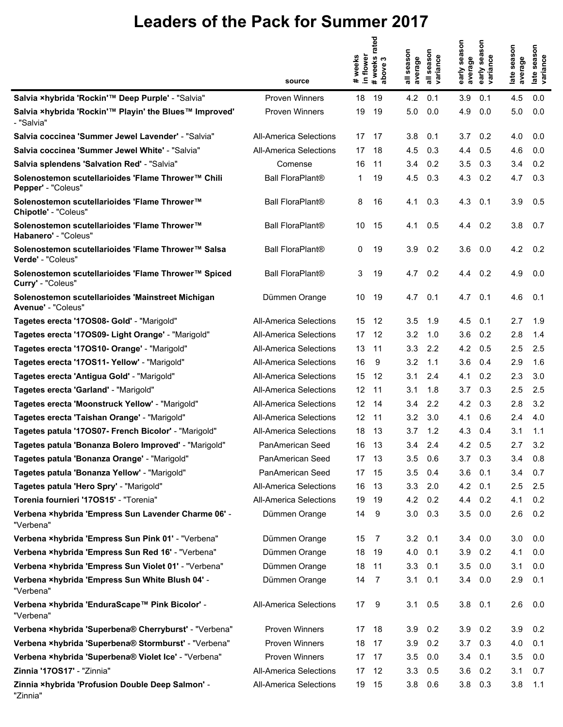|                                                                          | source                        | weeks<br>in flower<br>$\ddot{\phantom{a}}$ | rated<br>#weeks i<br>above 3 | season<br>average<br>$\bar{\bar{a}}$ | season<br>variance | early season<br>average | son<br>sea<br>variance<br>early | late season<br>average | late season<br>variance |
|--------------------------------------------------------------------------|-------------------------------|--------------------------------------------|------------------------------|--------------------------------------|--------------------|-------------------------|---------------------------------|------------------------|-------------------------|
| Salvia ×hybrida 'Rockin'™ Deep Purple' - "Salvia"                        | <b>Proven Winners</b>         | 18                                         | 19                           | 4.2                                  | 0.1                | 3.9                     | 0.1                             | 4.5                    | 0.0                     |
| Salvia ×hybrida 'Rockin'™ Playin' the Blues™ Improved'<br>- "Salvia"     | Proven Winners                | 19                                         | 19                           | 5.0                                  | 0.0                | 4.9                     | 0.0                             | 5.0                    | 0.0                     |
| Salvia coccinea 'Summer Jewel Lavender' - "Salvia"                       | <b>All-America Selections</b> | 17                                         | 17                           | 3.8                                  | 0.1                | 3.7                     | 0.2                             | 4.0                    | 0.0                     |
| Salvia coccinea 'Summer Jewel White' - "Salvia"                          | <b>All-America Selections</b> | 17                                         | 18                           | 4.5                                  | 0.3                | 4.4                     | 0.5                             | 4.6                    | 0.0                     |
| Salvia splendens 'Salvation Red' - "Salvia"                              | Comense                       | 16                                         | 11                           | 3.4                                  | 0.2                | 3.5                     | 0.3                             | 3.4                    | 0.2                     |
| Solenostemon scutellarioides 'Flame Thrower™ Chili<br>Pepper' - "Coleus" | <b>Ball FloraPlant®</b>       | 1                                          | 19                           | 4.5                                  | 0.3                | 4.3                     | 0.2                             | 4.7                    | 0.3                     |
| Solenostemon scutellarioides 'Flame Thrower™<br>Chipotle' - "Coleus"     | <b>Ball FloraPlant®</b>       | 8                                          | 16                           | 4.1                                  | 0.3                | 4.3                     | 0.1                             | 3.9                    | 0.5                     |
| Solenostemon scutellarioides 'Flame Thrower™<br>Habanero' - "Coleus"     | <b>Ball FloraPlant®</b>       | 10                                         | 15                           | 4.1                                  | 0.5                | 4.4                     | 0.2                             | 3.8                    | 0.7                     |
| Solenostemon scutellarioides 'Flame Thrower™ Salsa<br>Verde' - "Coleus"  | Ball FloraPlant®              | 0                                          | 19                           | 3.9                                  | 0.2                | 3.6                     | 0.0                             | 4.2                    | 0.2                     |
| Solenostemon scutellarioides 'Flame Thrower™ Spiced<br>Curry' - "Coleus" | <b>Ball FloraPlant®</b>       | 3                                          | 19                           | 4.7                                  | 0.2                | 4.4                     | 0.2                             | 4.9                    | 0.0                     |
| Solenostemon scutellarioides 'Mainstreet Michigan<br>Avenue' - "Coleus"  | Dümmen Orange                 | 10                                         | 19                           | 4.7                                  | 0.1                | 4.7                     | 0.1                             | 4.6                    | 0.1                     |
| Tagetes erecta '17OS08- Gold' - "Marigold"                               | All-America Selections        | 15                                         | 12                           | 3.5                                  | 1.9                | 4.5                     | 0.1                             | 2.7                    | 1.9                     |
| Tagetes erecta '17OS09- Light Orange' - "Marigold"                       | <b>All-America Selections</b> | 17                                         | 12                           | 3.2                                  | 1.0                | 3.6                     | 0.2                             | 2.8                    | 1.4                     |
| Tagetes erecta '17OS10- Orange' - "Marigold"                             | All-America Selections        | 13                                         | 11                           | 3.3                                  | 2.2                | 4.2                     | 0.5                             | 2.5                    | 2.5                     |
| Tagetes erecta '17OS11- Yellow' - "Marigold"                             | All-America Selections        | 16                                         | 9                            | 3.2                                  | 1.1                | 3.6                     | 0.4                             | 2.9                    | 1.6                     |
| Tagetes erecta 'Antigua Gold' - "Marigold"                               | <b>All-America Selections</b> | 15                                         | 12                           | 3.1                                  | 2.4                | 4.1                     | 0.2                             | 2.3                    | 3.0                     |
| Tagetes erecta 'Garland' - "Marigold"                                    | <b>All-America Selections</b> | 12                                         | 11                           | 3.1                                  | 1.8                | 3.7                     | 0.3                             | 2.5                    | 2.5                     |
| Tagetes erecta 'Moonstruck Yellow' - "Marigold"                          | All-America Selections        | 12                                         | 14                           | 3.4                                  | 2.2                | 4.2                     | 0.3                             | 2.8                    | 3.2                     |
| Tagetes erecta 'Taishan Orange' - "Marigold"                             | All-America Selections        | 12 <sup>°</sup>                            | -11                          | 3.2                                  | 3.0                | 4.1                     | 0.6                             | 2.4                    | 4.0                     |
| Tagetes patula '170S07- French Bicolor' - "Marigold"                     | <b>All-America Selections</b> | 18                                         | 13                           | 3.7                                  | 1.2                | 4.3                     | 0.4                             | 3.1                    | 1.1                     |
| Tagetes patula 'Bonanza Bolero Improved' - "Marigold"                    | PanAmerican Seed              | 16                                         | 13                           | 3.4                                  | 2.4                | 4.2                     | 0.5                             | 2.7                    | 3.2                     |
| Tagetes patula 'Bonanza Orange' - "Marigold"                             | PanAmerican Seed              | 17 13                                      |                              | 3.5                                  | 0.6                | 3.7                     | 0.3                             | 3.4                    | 0.8                     |
| Tagetes patula 'Bonanza Yellow' - "Marigold"                             | PanAmerican Seed              | 17                                         | 15                           | 3.5                                  | 0.4                | 3.6                     | 0.1                             | 3.4                    | 0.7                     |
| Tagetes patula 'Hero Spry' - "Marigold"                                  | <b>All-America Selections</b> | 16                                         | 13                           | 3.3                                  | 2.0                | 4.2                     | 0.1                             | 2.5                    | 2.5                     |
| Torenia fournieri '170S15' - "Torenia"                                   | <b>All-America Selections</b> | 19                                         | 19                           | 4.2                                  | 0.2                | 4.4                     | 0.2                             | 4.1                    | 0.2                     |
| Verbena ×hybrida 'Empress Sun Lavender Charme 06' -<br>"Verbena"         | Dümmen Orange                 | 14                                         | 9                            | 3.0                                  | 0.3                | 3.5                     | 0.0                             | 2.6                    | 0.2                     |
| Verbena ×hybrida 'Empress Sun Pink 01' - "Verbena"                       | Dümmen Orange                 | 15                                         | 7                            | 3.2                                  | 0.1                | 3.4                     | 0.0                             | 3.0                    | 0.0                     |
| Verbena ×hybrida 'Empress Sun Red 16' - "Verbena"                        | Dümmen Orange                 | 18                                         | 19                           | 4.0                                  | 0.1                | 3.9                     | 0.2                             | 4.1                    | 0.0                     |
| Verbena ×hybrida 'Empress Sun Violet 01' - "Verbena"                     | Dümmen Orange                 | 18                                         | 11                           | 3.3                                  | 0.1                | 3.5                     | 0.0                             | 3.1                    | 0.0                     |
| Verbena ×hybrida 'Empress Sun White Blush 04' -<br>"Verbena"             | Dümmen Orange                 | 14                                         | 7                            | 3.1                                  | 0.1                | 3.4                     | 0.0                             | 2.9                    | 0.1                     |
| Verbena ×hybrida 'EnduraScape™ Pink Bicolor' -<br>"Verbena"              | <b>All-America Selections</b> | 17                                         | 9                            | 3.1                                  | 0.5                | 3.8                     | 0.1                             | 2.6                    | 0.0                     |
| Verbena ×hybrida 'Superbena® Cherryburst' - "Verbena"                    | Proven Winners                | 17                                         | 18                           | 3.9                                  | 0.2                | 3.9                     | 0.2                             | 3.9                    | 0.2                     |
| Verbena ×hybrida 'Superbena® Stormburst' - "Verbena"                     | Proven Winners                | 18                                         | 17                           | 3.9                                  | 0.2                | 3.7                     | 0.3                             | 4.0                    | 0.1                     |
| Verbena ×hybrida 'Superbena® Violet Ice' - "Verbena"                     | Proven Winners                | 17 <sup>2</sup>                            | 17                           | 3.5                                  | 0.0                | 3.4                     | 0.1                             | 3.5                    | 0.0                     |
| Zinnia '170S17' - "Zinnia"                                               | <b>All-America Selections</b> | 17                                         | 12                           | 3.3                                  | 0.5                | 3.6                     | 0.2                             | 3.1                    | 0.7                     |
| Zinnia ×hybrida 'Profusion Double Deep Salmon' -<br>"Zinnia"             | All-America Selections        | 19                                         | 15                           | 3.8                                  | 0.6                | 3.8                     | 0.3                             | 3.8                    | 1.1                     |